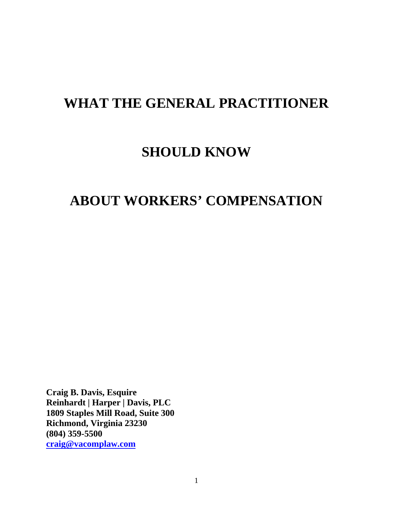# **WHAT THE GENERAL PRACTITIONER**

## **SHOULD KNOW**

## **ABOUT WORKERS' COMPENSATION**

**Craig B. Davis, Esquire Reinhardt | Harper | Davis, PLC 1809 Staples Mill Road, Suite 300 Richmond, Virginia 23230 (804) 359-5500 craig@vacomplaw.com**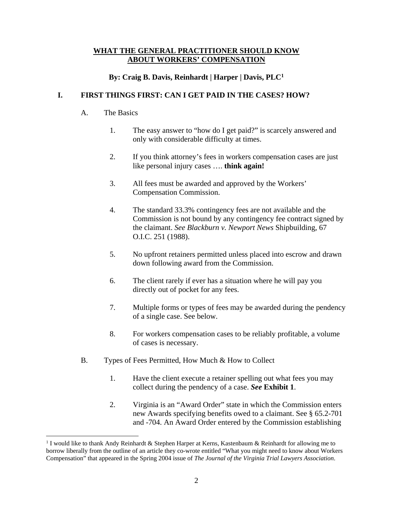#### **WHAT THE GENERAL PRACTITIONER SHOULD KNOW ABOUT WORKERS' COMPENSATION**

### **By: Craig B. Davis, Reinhardt | Harper | Davis, PLC1**

## **I. FIRST THINGS FIRST: CAN I GET PAID IN THE CASES? HOW?**

#### A. The Basics

 $\overline{a}$ 

- 1. The easy answer to "how do I get paid?" is scarcely answered and only with considerable difficulty at times.
- 2. If you think attorney's fees in workers compensation cases are just like personal injury cases …. **think again!**
- 3. All fees must be awarded and approved by the Workers' Compensation Commission.
- 4. The standard 33.3% contingency fees are not available and the Commission is not bound by any contingency fee contract signed by the claimant. *See Blackburn v. Newport News* Shipbuilding, 67 O.I.C. 251 (1988).
- 5. No upfront retainers permitted unless placed into escrow and drawn down following award from the Commission.
- 6. The client rarely if ever has a situation where he will pay you directly out of pocket for any fees.
- 7. Multiple forms or types of fees may be awarded during the pendency of a single case. See below.
- 8. For workers compensation cases to be reliably profitable, a volume of cases is necessary.
- B. Types of Fees Permitted, How Much & How to Collect
	- 1. Have the client execute a retainer spelling out what fees you may collect during the pendency of a case. *See* **Exhibit 1**.
	- 2. Virginia is an "Award Order" state in which the Commission enters new Awards specifying benefits owed to a claimant. See § 65.2-701 and -704. An Award Order entered by the Commission establishing

<sup>&</sup>lt;sup>1</sup> I would like to thank Andy Reinhardt & Stephen Harper at Kerns, Kastenbaum & Reinhardt for allowing me to borrow liberally from the outline of an article they co-wrote entitled "What you might need to know about Workers Compensation" that appeared in the Spring 2004 issue of *The Journal of the Virginia Trial Lawyers Association*.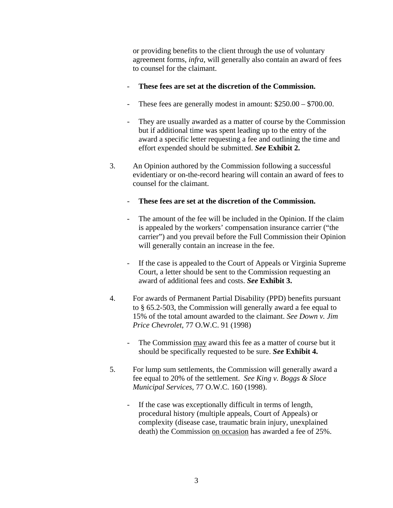or providing benefits to the client through the use of voluntary agreement forms, *infra*, will generally also contain an award of fees to counsel for the claimant.

- **These fees are set at the discretion of the Commission.**
- These fees are generally modest in amount:  $$250.00 $700.00$ .
- They are usually awarded as a matter of course by the Commission but if additional time was spent leading up to the entry of the award a specific letter requesting a fee and outlining the time and effort expended should be submitted. *See* **Exhibit 2.**
- 3. An Opinion authored by the Commission following a successful evidentiary or on-the-record hearing will contain an award of fees to counsel for the claimant.
	- **These fees are set at the discretion of the Commission.**
	- The amount of the fee will be included in the Opinion. If the claim is appealed by the workers' compensation insurance carrier ("the carrier") and you prevail before the Full Commission their Opinion will generally contain an increase in the fee.
	- If the case is appealed to the Court of Appeals or Virginia Supreme Court, a letter should be sent to the Commission requesting an award of additional fees and costs. *See* **Exhibit 3.**
- 4. For awards of Permanent Partial Disability (PPD) benefits pursuant to § 65.2-503, the Commission will generally award a fee equal to 15% of the total amount awarded to the claimant. *See Down v. Jim Price Chevrolet*, 77 O.W.C. 91 (1998)
	- The Commission may award this fee as a matter of course but it should be specifically requested to be sure. *See* **Exhibit 4.**
- 5. For lump sum settlements, the Commission will generally award a fee equal to 20% of the settlement. *See King v. Boggs & Sloce Municipal Services*, 77 O.W.C. 160 (1998).
	- If the case was exceptionally difficult in terms of length, procedural history (multiple appeals, Court of Appeals) or complexity (disease case, traumatic brain injury, unexplained death) the Commission on occasion has awarded a fee of 25%.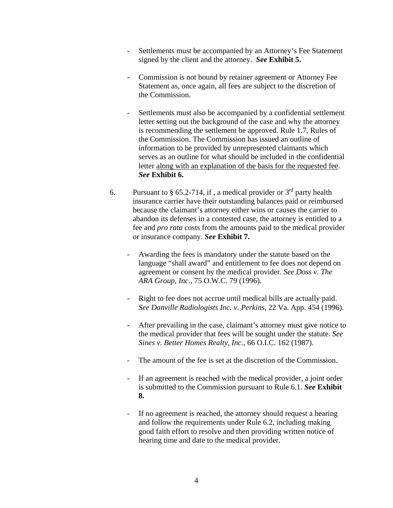- Settlements must be accompanied by an Attorney's Fee Statement signed by the client and the attorney. *See* **Exhibit 5.**
- Commission is not bound by retainer agreement or Attorney Fee Statement as, once again, all fees are subject to the discretion of the Commission.
- Settlements must also be accompanied by a confidential settlement letter setting out the background of the case and why the attorney is recommending the settlement be approved. Rule 1.7, Rules of the Commission. The Commission has issued an outline of information to be provided by unrepresented claimants which serves as an outline for what should be included in the confidential letter along with an explanation of the basis for the requested fee. *See* **Exhibit 6.**
- 6. Pursuant to § 65.2-714, if, a medical provider or  $3<sup>rd</sup>$  party health insurance carrier have their outstanding balances paid or reimbursed because the claimant's attorney either wins or causes the carrier to abandon its defenses in a contested case, the attorney is entitled to a fee and *pro rata* costs from the amounts paid to the medical provider or insurance company. *See* **Exhibit 7.**
	- Awarding the fees is mandatory under the statute based on the language "shall award" and entitlement to fee does not depend on agreement or consent by the medical provider. *See Doss v. The ARA Group, Inc.*, 75 O.W.C. 79 (1996).
	- Right to fee does not accrue until medical bills are actually paid. *See Danville Radiologists Inc. v. Perkins*, 22 Va. App. 454 (1996).
	- After prevailing in the case, claimant's attorney must give notice to the medical provider that fees will be sought under the statute. *See Sines v. Better Homes Realty, Inc.*, 66 O.I.C. 162 (1987).
	- The amount of the fee is set at the discretion of the Commission.
	- If an agreement is reached with the medical provider, a joint order is submitted to the Commission pursuant to Rule 6.1. *See* **Exhibit 8.**
	- If no agreement is reached, the attorney should request a hearing and follow the requirements under Rule 6.2, including making good faith effort to resolve and then providing written notice of hearing time and date to the medical provider.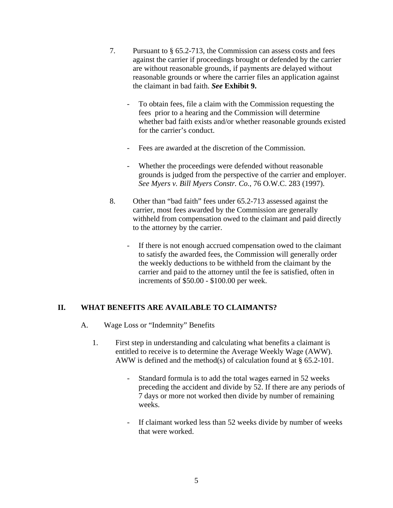- 7. Pursuant to § 65.2-713, the Commission can assess costs and fees against the carrier if proceedings brought or defended by the carrier are without reasonable grounds, if payments are delayed without reasonable grounds or where the carrier files an application against the claimant in bad faith. *See* **Exhibit 9.**
	- To obtain fees, file a claim with the Commission requesting the fees prior to a hearing and the Commission will determine whether bad faith exists and/or whether reasonable grounds existed for the carrier's conduct.
	- Fees are awarded at the discretion of the Commission.
	- Whether the proceedings were defended without reasonable grounds is judged from the perspective of the carrier and employer. *See Myers v. Bill Myers Constr. Co.*, 76 O.W.C. 283 (1997).
- 8. Other than "bad faith" fees under 65.2-713 assessed against the carrier, most fees awarded by the Commission are generally withheld from compensation owed to the claimant and paid directly to the attorney by the carrier.
	- If there is not enough accrued compensation owed to the claimant to satisfy the awarded fees, the Commission will generally order the weekly deductions to be withheld from the claimant by the carrier and paid to the attorney until the fee is satisfied, often in increments of \$50.00 - \$100.00 per week.

### **II. WHAT BENEFITS ARE AVAILABLE TO CLAIMANTS?**

- A. Wage Loss or "Indemnity" Benefits
	- 1. First step in understanding and calculating what benefits a claimant is entitled to receive is to determine the Average Weekly Wage (AWW). AWW is defined and the method(s) of calculation found at § 65.2-101.
		- Standard formula is to add the total wages earned in 52 weeks preceding the accident and divide by 52. If there are any periods of 7 days or more not worked then divide by number of remaining weeks.
		- If claimant worked less than 52 weeks divide by number of weeks that were worked.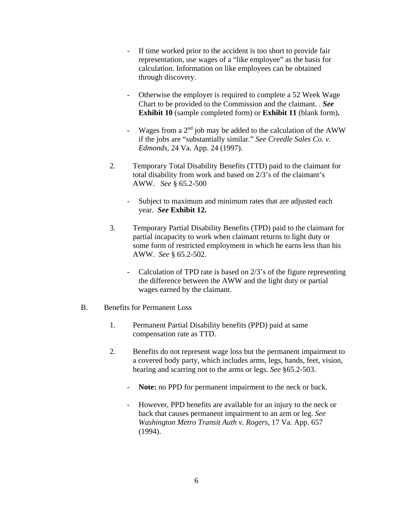- If time worked prior to the accident is too short to provide fair representation, use wages of a "like employee" as the basis for calculation. Information on like employees can be obtained through discovery.
- Otherwise the employer is required to complete a 52 Week Wage Chart to be provided to the Commission and the claimant. . *See* **Exhibit 10** (sample completed form) or **Exhibit 11** (blank form)**.**
- Wages from a  $2<sup>nd</sup>$  job may be added to the calculation of the AWW if the jobs are "substantially similar." *See Creedle Sales Co. v. Edmonds*, 24 Va. App. 24 (1997).
- 2. Temporary Total Disability Benefits (TTD) paid to the claimant for total disability from work and based on 2/3's of the claimant's AWW. *See* § 65.2-500
	- Subject to maximum and minimum rates that are adjusted each year. *See* **Exhibit 12.**
- 3. Temporary Partial Disability Benefits (TPD) paid to the claimant for partial incapacity to work when claimant returns to light duty or some form of restricted employment in which he earns less than his AWW. *See* § 65.2-502.
	- Calculation of TPD rate is based on 2/3's of the figure representing the difference between the AWW and the light duty or partial wages earned by the claimant.
- B. Benefits for Permanent Loss
	- 1. Permanent Partial Disability benefits (PPD) paid at same compensation rate as TTD.
	- 2. Benefits do not represent wage loss but the permanent impairment to a covered body party, which includes arms, legs, hands, feet, vision, hearing and scarring not to the arms or legs. *See* §65.2-503.
		- **Note:** no PPD for permanent impairment to the neck or back.
		- However, PPD benefits are available for an injury to the neck or back that causes permanent impairment to an arm or leg. *See Washington Metro Transit Auth v. Rogers*, 17 Va. App. 657 (1994).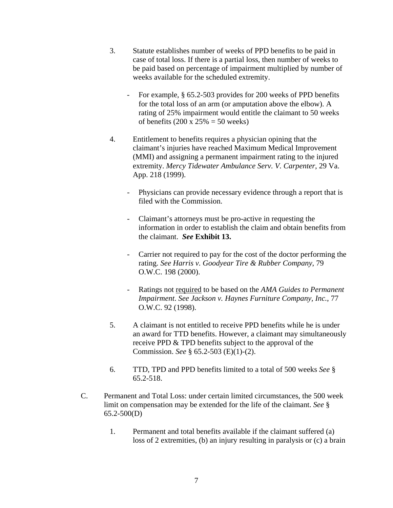- 3. Statute establishes number of weeks of PPD benefits to be paid in case of total loss. If there is a partial loss, then number of weeks to be paid based on percentage of impairment multiplied by number of weeks available for the scheduled extremity.
	- For example, § 65.2-503 provides for 200 weeks of PPD benefits for the total loss of an arm (or amputation above the elbow). A rating of 25% impairment would entitle the claimant to 50 weeks of benefits  $(200 \times 25\% = 50$  weeks)
- 4. Entitlement to benefits requires a physician opining that the claimant's injuries have reached Maximum Medical Improvement (MMI) and assigning a permanent impairment rating to the injured extremity. *Mercy Tidewater Ambulance Serv. V. Carpenter*, 29 Va. App. 218 (1999).
	- Physicians can provide necessary evidence through a report that is filed with the Commission.
	- Claimant's attorneys must be pro-active in requesting the information in order to establish the claim and obtain benefits from the claimant. *See* **Exhibit 13.**
	- Carrier not required to pay for the cost of the doctor performing the rating. *See Harris v. Goodyear Tire & Rubber Company*, 79 O.W.C. 198 (2000).
	- Ratings not required to be based on the *AMA Guides to Permanent Impairment*. *See Jackson v. Haynes Furniture Company, Inc.*, 77 O.W.C. 92 (1998).
- 5. A claimant is not entitled to receive PPD benefits while he is under an award for TTD benefits. However, a claimant may simultaneously receive PPD & TPD benefits subject to the approval of the Commission. *See* § 65.2-503 (E)(1)-(2).
- 6. TTD, TPD and PPD benefits limited to a total of 500 weeks *See* § 65.2-518.
- C. Permanent and Total Loss: under certain limited circumstances, the 500 week limit on compensation may be extended for the life of the claimant. *See* § 65.2-500(D)
	- 1. Permanent and total benefits available if the claimant suffered (a) loss of 2 extremities, (b) an injury resulting in paralysis or (c) a brain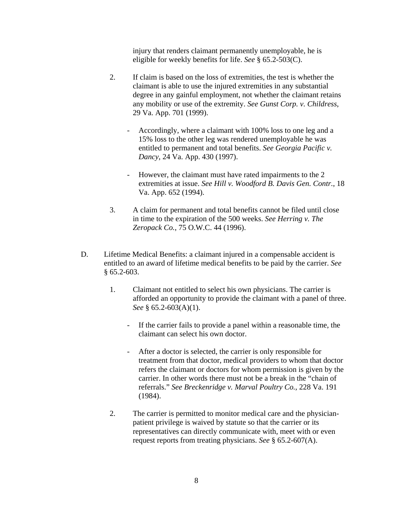injury that renders claimant permanently unemployable, he is eligible for weekly benefits for life. *See* § 65.2-503(C).

- 2. If claim is based on the loss of extremities, the test is whether the claimant is able to use the injured extremities in any substantial degree in any gainful employment, not whether the claimant retains any mobility or use of the extremity. *See Gunst Corp. v. Childress*, 29 Va. App. 701 (1999).
	- Accordingly, where a claimant with 100% loss to one leg and a 15% loss to the other leg was rendered unemployable he was entitled to permanent and total benefits. *See Georgia Pacific v. Dancy*, 24 Va. App. 430 (1997).
	- However, the claimant must have rated impairments to the 2 extremities at issue. *See Hill v. Woodford B. Davis Gen. Contr.*, 18 Va. App. 652 (1994).
- 3. A claim for permanent and total benefits cannot be filed until close in time to the expiration of the 500 weeks. *See Herring v. The Zeropack Co.*, 75 O.W.C. 44 (1996).
- D. Lifetime Medical Benefits: a claimant injured in a compensable accident is entitled to an award of lifetime medical benefits to be paid by the carrier. *See* § 65.2-603.
	- 1. Claimant not entitled to select his own physicians. The carrier is afforded an opportunity to provide the claimant with a panel of three. *See* § 65.2-603(A)(1).
		- If the carrier fails to provide a panel within a reasonable time, the claimant can select his own doctor.
		- After a doctor is selected, the carrier is only responsible for treatment from that doctor, medical providers to whom that doctor refers the claimant or doctors for whom permission is given by the carrier. In other words there must not be a break in the "chain of referrals." *See Breckenridge v. Marval Poultry Co.*, 228 Va. 191 (1984).
	- 2. The carrier is permitted to monitor medical care and the physicianpatient privilege is waived by statute so that the carrier or its representatives can directly communicate with, meet with or even request reports from treating physicians. *See* § 65.2-607(A).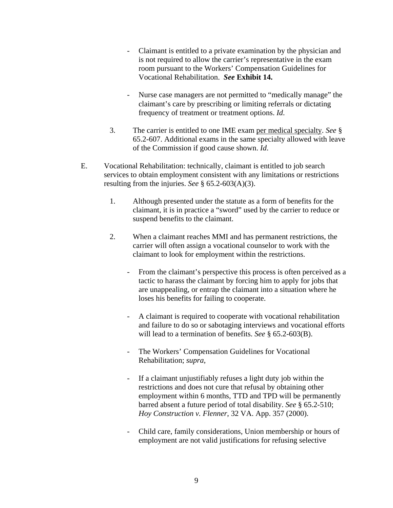- Claimant is entitled to a private examination by the physician and is not required to allow the carrier's representative in the exam room pursuant to the Workers' Compensation Guidelines for Vocational Rehabilitation. *See* **Exhibit 14.**
- Nurse case managers are not permitted to "medically manage" the claimant's care by prescribing or limiting referrals or dictating frequency of treatment or treatment options. *Id*.
- 3. The carrier is entitled to one IME exam per medical specialty. *See* § 65.2-607. Additional exams in the same specialty allowed with leave of the Commission if good cause shown. *Id*.
- E. Vocational Rehabilitation: technically, claimant is entitled to job search services to obtain employment consistent with any limitations or restrictions resulting from the injuries. *See* § 65.2-603(A)(3).
	- 1. Although presented under the statute as a form of benefits for the claimant, it is in practice a "sword" used by the carrier to reduce or suspend benefits to the claimant.
	- 2. When a claimant reaches MMI and has permanent restrictions, the carrier will often assign a vocational counselor to work with the claimant to look for employment within the restrictions.
		- From the claimant's perspective this process is often perceived as a tactic to harass the claimant by forcing him to apply for jobs that are unappealing, or entrap the claimant into a situation where he loses his benefits for failing to cooperate.
		- A claimant is required to cooperate with vocational rehabilitation and failure to do so or sabotaging interviews and vocational efforts will lead to a termination of benefits. *See* § 65.2-603(B).
		- The Workers' Compensation Guidelines for Vocational Rehabilitation; *supra*,
		- If a claimant unjustifiably refuses a light duty job within the restrictions and does not cure that refusal by obtaining other employment within 6 months, TTD and TPD will be permanently barred absent a future period of total disability. *See* § 65.2-510; *Hoy Construction v. Flenner*, 32 VA. App. 357 (2000).
		- Child care, family considerations, Union membership or hours of employment are not valid justifications for refusing selective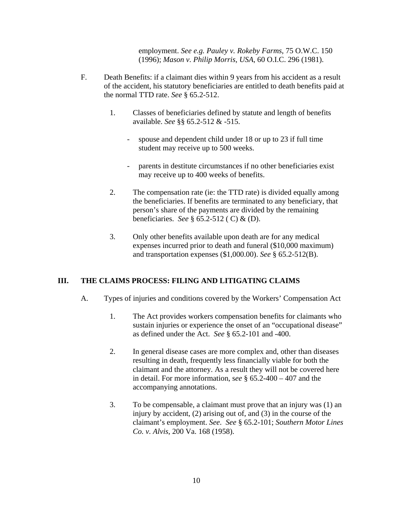employment. *See e.g. Pauley v. Rokeby Farms*, 75 O.W.C. 150 (1996); *Mason v. Philip Morris, USA*, 60 O.I.C. 296 (1981).

- F. Death Benefits: if a claimant dies within 9 years from his accident as a result of the accident, his statutory beneficiaries are entitled to death benefits paid at the normal TTD rate. *See* § 65.2-512.
	- 1. Classes of beneficiaries defined by statute and length of benefits available. *See* §§ 65.2-512 & -515.
		- spouse and dependent child under 18 or up to 23 if full time student may receive up to 500 weeks.
		- parents in destitute circumstances if no other beneficiaries exist may receive up to 400 weeks of benefits.
	- 2. The compensation rate (ie: the TTD rate) is divided equally among the beneficiaries. If benefits are terminated to any beneficiary, that person's share of the payments are divided by the remaining beneficiaries. *See* § 65.2-512 ( C) & (D).
	- 3. Only other benefits available upon death are for any medical expenses incurred prior to death and funeral (\$10,000 maximum) and transportation expenses (\$1,000.00). *See* § 65.2-512(B).

### **III. THE CLAIMS PROCESS: FILING AND LITIGATING CLAIMS**

- A. Types of injuries and conditions covered by the Workers' Compensation Act
	- 1. The Act provides workers compensation benefits for claimants who sustain injuries or experience the onset of an "occupational disease" as defined under the Act. *See* § 65.2-101 and -400.
	- 2. In general disease cases are more complex and, other than diseases resulting in death, frequently less financially viable for both the claimant and the attorney. As a result they will not be covered here in detail. For more information, s*ee* § 65.2-400 – 407 and the accompanying annotations.
	- 3. To be compensable, a claimant must prove that an injury was (1) an injury by accident, (2) arising out of, and (3) in the course of the claimant's employment. *See*. *See* § 65.2-101; *Southern Motor Lines Co. v. Alvis*, 200 Va. 168 (1958).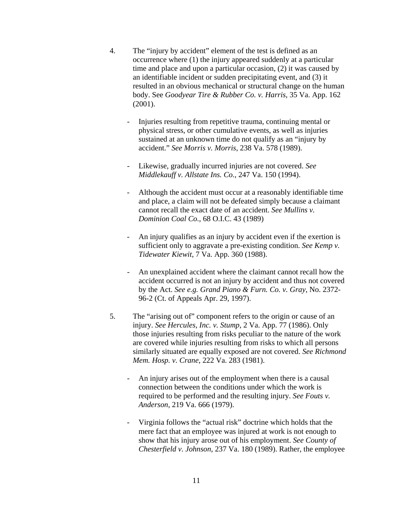- 4. The "injury by accident" element of the test is defined as an occurrence where (1) the injury appeared suddenly at a particular time and place and upon a particular occasion, (2) it was caused by an identifiable incident or sudden precipitating event, and (3) it resulted in an obvious mechanical or structural change on the human body. See *Goodyear Tire & Rubber Co. v. Harris*, 35 Va. App. 162 (2001).
	- Injuries resulting from repetitive trauma, continuing mental or physical stress, or other cumulative events, as well as injuries sustained at an unknown time do not qualify as an "injury by accident." *See Morris v. Morris*, 238 Va. 578 (1989).
	- Likewise, gradually incurred injuries are not covered. *See Middlekauff v. Allstate Ins. Co.*, 247 Va. 150 (1994).
	- Although the accident must occur at a reasonably identifiable time and place, a claim will not be defeated simply because a claimant cannot recall the exact date of an accident. *See Mullins v. Dominion Coal Co.*, 68 O.I.C. 43 (1989)
	- An injury qualifies as an injury by accident even if the exertion is sufficient only to aggravate a pre-existing condition. *See Kemp v. Tidewater Kiewit*, 7 Va. App. 360 (1988).
	- An unexplained accident where the claimant cannot recall how the accident occurred is not an injury by accident and thus not covered by the Act. *See e.g. Grand Piano & Furn. Co. v. Gray*, No. 2372- 96-2 (Ct. of Appeals Apr. 29, 1997).
- 5. The "arising out of" component refers to the origin or cause of an injury. *See Hercules, Inc. v. Stump*, 2 Va. App. 77 (1986). Only those injuries resulting from risks peculiar to the nature of the work are covered while injuries resulting from risks to which all persons similarly situated are equally exposed are not covered. *See Richmond Mem. Hosp. v. Crane*, 222 Va. 283 (1981).
	- An injury arises out of the employment when there is a causal connection between the conditions under which the work is required to be performed and the resulting injury. *See Fouts v. Anderson*, 219 Va. 666 (1979).
	- Virginia follows the "actual risk" doctrine which holds that the mere fact that an employee was injured at work is not enough to show that his injury arose out of his employment. *See County of Chesterfield v. Johnson*, 237 Va. 180 (1989). Rather, the employee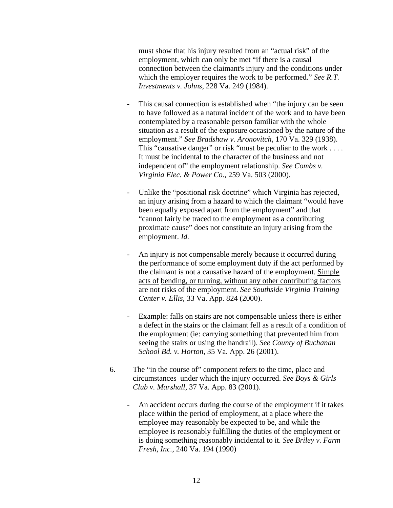must show that his injury resulted from an "actual risk" of the employment, which can only be met "if there is a causal connection between the claimant's injury and the conditions under which the employer requires the work to be performed." *See R.T. Investments v. Johns*, 228 Va. 249 (1984).

- This causal connection is established when "the injury can be seen to have followed as a natural incident of the work and to have been contemplated by a reasonable person familiar with the whole situation as a result of the exposure occasioned by the nature of the employment." *See Bradshaw v. Aronovitch*, 170 Va. 329 (1938). This "causative danger" or risk "must be peculiar to the work .... It must be incidental to the character of the business and not independent of" the employment relationship. *See Combs v. Virginia Elec. & Power Co.*, 259 Va. 503 (2000).
- Unlike the "positional risk doctrine" which Virginia has rejected, an injury arising from a hazard to which the claimant "would have been equally exposed apart from the employment" and that "cannot fairly be traced to the employment as a contributing proximate cause" does not constitute an injury arising from the employment. *Id.*
- An injury is not compensable merely because it occurred during the performance of some employment duty if the act performed by the claimant is not a causative hazard of the employment. Simple acts of bending, or turning, without any other contributing factors are not risks of the employment. *See Southside Virginia Training Center v. Ellis*, 33 Va. App. 824 (2000).
- Example: falls on stairs are not compensable unless there is either a defect in the stairs or the claimant fell as a result of a condition of the employment (ie: carrying something that prevented him from seeing the stairs or using the handrail). *See County of Buchanan School Bd. v. Horton*, 35 Va. App. 26 (2001).
- 6. The "in the course of" component refers to the time, place and circumstances under which the injury occurred. *See Boys & Girls Club v. Marshall*, 37 Va. App. 83 (2001).
	- An accident occurs during the course of the employment if it takes place within the period of employment, at a place where the employee may reasonably be expected to be, and while the employee is reasonably fulfilling the duties of the employment or is doing something reasonably incidental to it. *See Briley v. Farm Fresh, Inc.*, 240 Va. 194 (1990)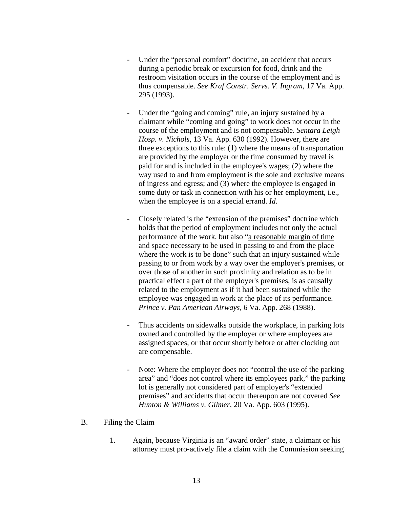- Under the "personal comfort" doctrine, an accident that occurs during a periodic break or excursion for food, drink and the restroom visitation occurs in the course of the employment and is thus compensable. *See Kraf Constr. Servs. V. Ingram*, 17 Va. App. 295 (1993).
- Under the "going and coming" rule, an injury sustained by a claimant while "coming and going" to work does not occur in the course of the employment and is not compensable. *Sentara Leigh Hosp. v. Nichols*, 13 Va. App. 630 (1992). However, there are three exceptions to this rule: (1) where the means of transportation are provided by the employer or the time consumed by travel is paid for and is included in the employee's wages; (2) where the way used to and from employment is the sole and exclusive means of ingress and egress; and (3) where the employee is engaged in some duty or task in connection with his or her employment, i.e., when the employee is on a special errand. *Id*.
- Closely related is the "extension of the premises" doctrine which holds that the period of employment includes not only the actual performance of the work, but also "a reasonable margin of time and space necessary to be used in passing to and from the place where the work is to be done" such that an injury sustained while passing to or from work by a way over the employer's premises, or over those of another in such proximity and relation as to be in practical effect a part of the employer's premises, is as causally related to the employment as if it had been sustained while the employee was engaged in work at the place of its performance. *Prince v. Pan American Airways,* 6 Va. App. 268 (1988).
- Thus accidents on sidewalks outside the workplace, in parking lots owned and controlled by the employer or where employees are assigned spaces, or that occur shortly before or after clocking out are compensable.
- Note: Where the employer does not "control the use of the parking area" and "does not control where its employees park," the parking lot is generally not considered part of employer's "extended premises" and accidents that occur thereupon are not covered *See Hunton & Williams v. Gilmer*, 20 Va. App. 603 (1995).
- B. Filing the Claim
	- 1. Again, because Virginia is an "award order" state, a claimant or his attorney must pro-actively file a claim with the Commission seeking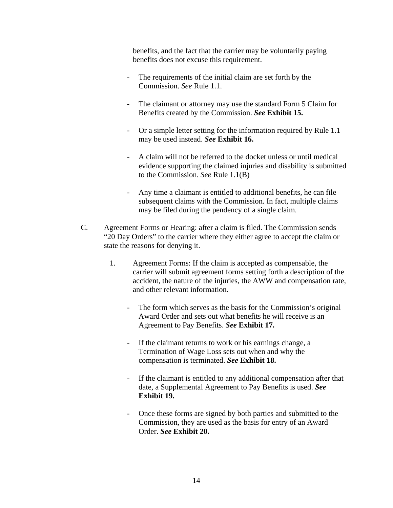benefits, and the fact that the carrier may be voluntarily paying benefits does not excuse this requirement.

- The requirements of the initial claim are set forth by the Commission. *See* Rule 1.1.
- The claimant or attorney may use the standard Form 5 Claim for Benefits created by the Commission. *See* **Exhibit 15.**
- Or a simple letter setting for the information required by Rule 1.1 may be used instead. *See* **Exhibit 16.**
- A claim will not be referred to the docket unless or until medical evidence supporting the claimed injuries and disability is submitted to the Commission. *See* Rule 1.1(B)
- Any time a claimant is entitled to additional benefits, he can file subsequent claims with the Commission. In fact, multiple claims may be filed during the pendency of a single claim.
- C. Agreement Forms or Hearing: after a claim is filed. The Commission sends "20 Day Orders" to the carrier where they either agree to accept the claim or state the reasons for denying it.
	- 1. Agreement Forms: If the claim is accepted as compensable, the carrier will submit agreement forms setting forth a description of the accident, the nature of the injuries, the AWW and compensation rate, and other relevant information.
		- The form which serves as the basis for the Commission's original Award Order and sets out what benefits he will receive is an Agreement to Pay Benefits. *See* **Exhibit 17.**
		- If the claimant returns to work or his earnings change, a Termination of Wage Loss sets out when and why the compensation is terminated. *See* **Exhibit 18.**
		- If the claimant is entitled to any additional compensation after that date, a Supplemental Agreement to Pay Benefits is used. *See* **Exhibit 19.**
		- Once these forms are signed by both parties and submitted to the Commission, they are used as the basis for entry of an Award Order. *See* **Exhibit 20.**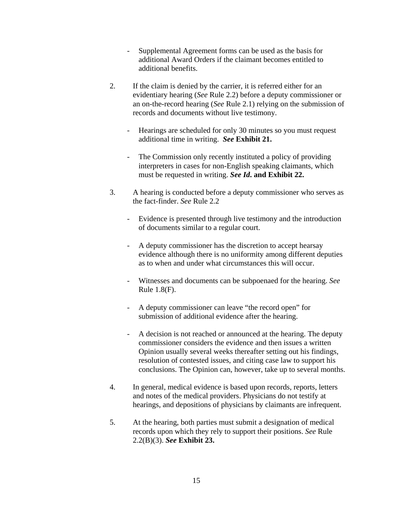- Supplemental Agreement forms can be used as the basis for additional Award Orders if the claimant becomes entitled to additional benefits.
- 2. If the claim is denied by the carrier, it is referred either for an evidentiary hearing (*See* Rule 2.2) before a deputy commissioner or an on-the-record hearing (*See* Rule 2.1) relying on the submission of records and documents without live testimony.
	- Hearings are scheduled for only 30 minutes so you must request additional time in writing. *See* **Exhibit 21.**
	- The Commission only recently instituted a policy of providing interpreters in cases for non-English speaking claimants, which must be requested in writing. *See Id***. and Exhibit 22.**
- 3. A hearing is conducted before a deputy commissioner who serves as the fact-finder. *See* Rule 2.2
	- Evidence is presented through live testimony and the introduction of documents similar to a regular court.
	- A deputy commissioner has the discretion to accept hearsay evidence although there is no uniformity among different deputies as to when and under what circumstances this will occur.
	- Witnesses and documents can be subpoenaed for the hearing. *See*  Rule 1.8(F).
	- A deputy commissioner can leave "the record open" for submission of additional evidence after the hearing.
	- A decision is not reached or announced at the hearing. The deputy commissioner considers the evidence and then issues a written Opinion usually several weeks thereafter setting out his findings, resolution of contested issues, and citing case law to support his conclusions. The Opinion can, however, take up to several months.
- 4. In general, medical evidence is based upon records, reports, letters and notes of the medical providers. Physicians do not testify at hearings, and depositions of physicians by claimants are infrequent.
- 5. At the hearing, both parties must submit a designation of medical records upon which they rely to support their positions. *See* Rule 2.2(B)(3). *See* **Exhibit 23.**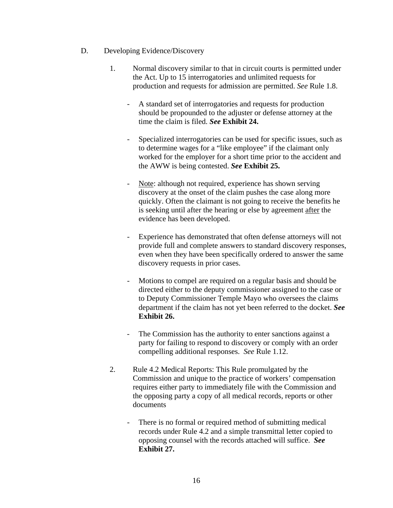- D. Developing Evidence/Discovery
	- 1. Normal discovery similar to that in circuit courts is permitted under the Act. Up to 15 interrogatories and unlimited requests for production and requests for admission are permitted. *See* Rule 1.8.
		- A standard set of interrogatories and requests for production should be propounded to the adjuster or defense attorney at the time the claim is filed. *See* **Exhibit 24.**
		- Specialized interrogatories can be used for specific issues, such as to determine wages for a "like employee" if the claimant only worked for the employer for a short time prior to the accident and the AWW is being contested. *See* **Exhibit 25.**
		- Note: although not required, experience has shown serving discovery at the onset of the claim pushes the case along more quickly. Often the claimant is not going to receive the benefits he is seeking until after the hearing or else by agreement after the evidence has been developed.
		- Experience has demonstrated that often defense attorneys will not provide full and complete answers to standard discovery responses, even when they have been specifically ordered to answer the same discovery requests in prior cases.
		- Motions to compel are required on a regular basis and should be directed either to the deputy commissioner assigned to the case or to Deputy Commissioner Temple Mayo who oversees the claims department if the claim has not yet been referred to the docket. *See* **Exhibit 26.**
		- The Commission has the authority to enter sanctions against a party for failing to respond to discovery or comply with an order compelling additional responses. *See* Rule 1.12.
	- 2. Rule 4.2 Medical Reports: This Rule promulgated by the Commission and unique to the practice of workers' compensation requires either party to immediately file with the Commission and the opposing party a copy of all medical records, reports or other documents
		- There is no formal or required method of submitting medical records under Rule 4.2 and a simple transmittal letter copied to opposing counsel with the records attached will suffice. *See* **Exhibit 27.**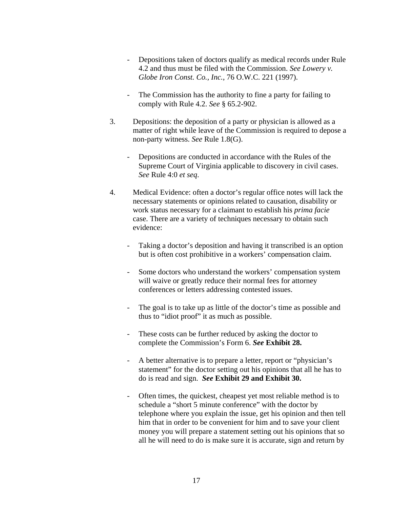- Depositions taken of doctors qualify as medical records under Rule 4.2 and thus must be filed with the Commission. *See Lowery v. Globe Iron Const. Co., Inc.*, 76 O.W.C. 221 (1997).
- The Commission has the authority to fine a party for failing to comply with Rule 4.2. *See* § 65.2-902.
- 3. Depositions: the deposition of a party or physician is allowed as a matter of right while leave of the Commission is required to depose a non-party witness. *See* Rule 1.8(G).
	- Depositions are conducted in accordance with the Rules of the Supreme Court of Virginia applicable to discovery in civil cases. *See* Rule 4:0 *et seq*.
- 4. Medical Evidence: often a doctor's regular office notes will lack the necessary statements or opinions related to causation, disability or work status necessary for a claimant to establish his *prima facie* case. There are a variety of techniques necessary to obtain such evidence:
	- Taking a doctor's deposition and having it transcribed is an option but is often cost prohibitive in a workers' compensation claim.
	- Some doctors who understand the workers' compensation system will waive or greatly reduce their normal fees for attorney conferences or letters addressing contested issues.
	- The goal is to take up as little of the doctor's time as possible and thus to "idiot proof" it as much as possible.
	- These costs can be further reduced by asking the doctor to complete the Commission's Form 6. *See* **Exhibit 28.**
	- A better alternative is to prepare a letter, report or "physician's statement" for the doctor setting out his opinions that all he has to do is read and sign. *See* **Exhibit 29 and Exhibit 30.**
	- Often times, the quickest, cheapest yet most reliable method is to schedule a "short 5 minute conference" with the doctor by telephone where you explain the issue, get his opinion and then tell him that in order to be convenient for him and to save your client money you will prepare a statement setting out his opinions that so all he will need to do is make sure it is accurate, sign and return by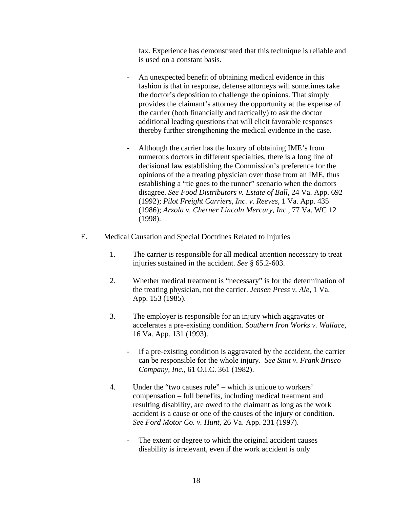fax. Experience has demonstrated that this technique is reliable and is used on a constant basis.

- An unexpected benefit of obtaining medical evidence in this fashion is that in response, defense attorneys will sometimes take the doctor's deposition to challenge the opinions. That simply provides the claimant's attorney the opportunity at the expense of the carrier (both financially and tactically) to ask the doctor additional leading questions that will elicit favorable responses thereby further strengthening the medical evidence in the case.
- Although the carrier has the luxury of obtaining IME's from numerous doctors in different specialties, there is a long line of decisional law establishing the Commission's preference for the opinions of the a treating physician over those from an IME, thus establishing a "tie goes to the runner" scenario when the doctors disagree. *See Food Distributors v. Estate of Ball*, 24 Va. App. 692 (1992); *Pilot Freight Carriers, Inc. v. Reeves,* 1 Va. App. 435 (1986); *Arzola v. Cherner Lincoln Mercury, Inc.*, 77 Va. WC 12 (1998).
- E. Medical Causation and Special Doctrines Related to Injuries
	- 1. The carrier is responsible for all medical attention necessary to treat injuries sustained in the accident. *See* § 65.2-603.
	- 2. Whether medical treatment is "necessary" is for the determination of the treating physician, not the carrier. *Jensen Press v. Ale*, 1 Va. App. 153 (1985).
	- 3. The employer is responsible for an injury which aggravates or accelerates a pre-existing condition. *Southern Iron Works v. Wallace,* 16 Va. App. 131 (1993).
		- If a pre-existing condition is aggravated by the accident, the carrier can be responsible for the whole injury. *See Smit v. Frank Brisco Company, Inc.*, 61 O.I.C. 361 (1982).
	- 4. Under the "two causes rule" which is unique to workers' compensation – full benefits, including medical treatment and resulting disability, are owed to the claimant as long as the work accident is a cause or one of the causes of the injury or condition. *See Ford Motor Co. v. Hunt*, 26 Va. App. 231 (1997).
		- The extent or degree to which the original accident causes disability is irrelevant, even if the work accident is only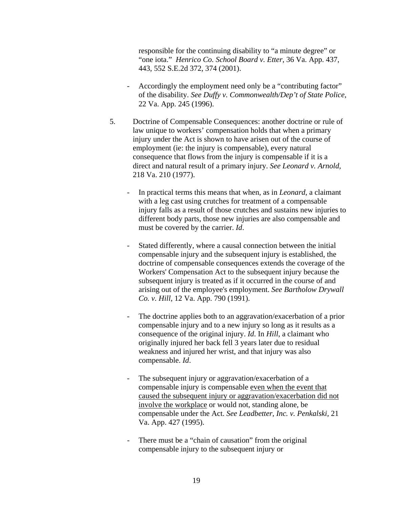responsible for the continuing disability to "a minute degree" or "one iota." *Henrico Co. School Board v. Etter*, 36 Va. App. 437, 443, 552 S.E.2d 372, 374 (2001).

- Accordingly the employment need only be a "contributing factor" of the disability. *See Duffy v. Commonwealth/Dep't of State Police*, 22 Va. App. 245 (1996).
- 5. Doctrine of Compensable Consequences: another doctrine or rule of law unique to workers' compensation holds that when a primary injury under the Act is shown to have arisen out of the course of employment (ie: the injury is compensable), every natural consequence that flows from the injury is compensable if it is a direct and natural result of a primary injury. *See Leonard v. Arnold,*  218 Va. 210 (1977).
	- In practical terms this means that when, as in *Leonard*, a claimant with a leg cast using crutches for treatment of a compensable injury falls as a result of those crutches and sustains new injuries to different body parts, those new injuries are also compensable and must be covered by the carrier. *Id*.
	- Stated differently, where a causal connection between the initial compensable injury and the subsequent injury is established, the doctrine of compensable consequences extends the coverage of the Workers' Compensation Act to the subsequent injury because the subsequent injury is treated as if it occurred in the course of and arising out of the employee's employment. *See Bartholow Drywall Co. v. Hill,* 12 Va. App. 790 (1991).
	- The doctrine applies both to an aggravation/exacerbation of a prior compensable injury and to a new injury so long as it results as a consequence of the original injury. *Id*. In *Hill*, a claimant who originally injured her back fell 3 years later due to residual weakness and injured her wrist, and that injury was also compensable. *Id*.
	- The subsequent injury or aggravation/exacerbation of a compensable injury is compensable even when the event that caused the subsequent injury or aggravation/exacerbation did not involve the workplace or would not, standing alone, be compensable under the Act. *See Leadbetter, Inc. v. Penkalski,* 21 Va. App. 427 (1995).
	- There must be a "chain of causation" from the original compensable injury to the subsequent injury or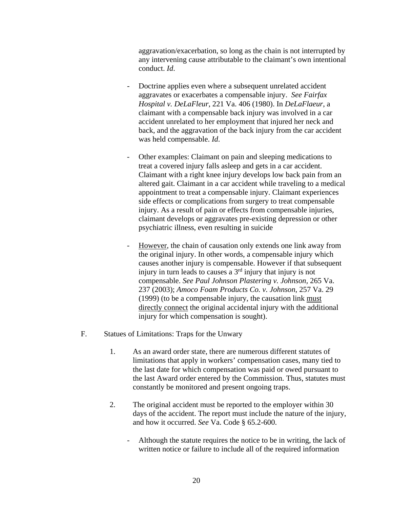aggravation/exacerbation, so long as the chain is not interrupted by any intervening cause attributable to the claimant's own intentional conduct. *Id*.

- Doctrine applies even where a subsequent unrelated accident aggravates or exacerbates a compensable injury. *See Fairfax Hospital v. DeLaFleur*, 221 Va. 406 (1980). In *DeLaFlaeur*, a claimant with a compensable back injury was involved in a car accident unrelated to her employment that injured her neck and back, and the aggravation of the back injury from the car accident was held compensable. *Id*.
- Other examples: Claimant on pain and sleeping medications to treat a covered injury falls asleep and gets in a car accident. Claimant with a right knee injury develops low back pain from an altered gait. Claimant in a car accident while traveling to a medical appointment to treat a compensable injury. Claimant experiences side effects or complications from surgery to treat compensable injury. As a result of pain or effects from compensable injuries, claimant develops or aggravates pre-existing depression or other psychiatric illness, even resulting in suicide
- However, the chain of causation only extends one link away from the original injury. In other words, a compensable injury which causes another injury is compensable. However if that subsequent injury in turn leads to causes a 3<sup>rd</sup> injury that injury is not compensable. *See Paul Johnson Plastering v. Johnson,* 265 Va. 237 (2003); *Amoco Foam Products Co. v. Johnson*, 257 Va. 29 (1999) (to be a compensable injury, the causation link must directly connect the original accidental injury with the additional injury for which compensation is sought).
- F. Statues of Limitations: Traps for the Unwary
	- 1. As an award order state, there are numerous different statutes of limitations that apply in workers' compensation cases, many tied to the last date for which compensation was paid or owed pursuant to the last Award order entered by the Commission. Thus, statutes must constantly be monitored and present ongoing traps.
	- 2. The original accident must be reported to the employer within 30 days of the accident. The report must include the nature of the injury, and how it occurred. *See* Va. Code § 65.2-600.
		- Although the statute requires the notice to be in writing, the lack of written notice or failure to include all of the required information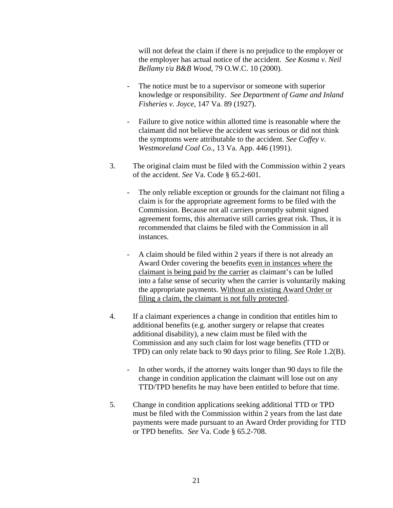will not defeat the claim if there is no prejudice to the employer or the employer has actual notice of the accident. *See Kosma v. Neil Bellamy t/a B&B Wood*, 79 O.W.C. 10 (2000).

- The notice must be to a supervisor or someone with superior knowledge or responsibility. *See Department of Game and Inland Fisheries v. Joyce*, 147 Va. 89 (1927).
- Failure to give notice within allotted time is reasonable where the claimant did not believe the accident was serious or did not think the symptoms were attributable to the accident. *See Coffey v. Westmoreland Coal Co.*, 13 Va. App. 446 (1991).
- 3. The original claim must be filed with the Commission within 2 years of the accident. *See* Va. Code § 65.2-601.
	- The only reliable exception or grounds for the claimant not filing a claim is for the appropriate agreement forms to be filed with the Commission. Because not all carriers promptly submit signed agreement forms, this alternative still carries great risk. Thus, it is recommended that claims be filed with the Commission in all instances.
	- A claim should be filed within 2 years if there is not already an Award Order covering the benefits even in instances where the claimant is being paid by the carrier as claimant's can be lulled into a false sense of security when the carrier is voluntarily making the appropriate payments. Without an existing Award Order or filing a claim, the claimant is not fully protected.
- 4. If a claimant experiences a change in condition that entitles him to additional benefits (e.g. another surgery or relapse that creates additional disability), a new claim must be filed with the Commission and any such claim for lost wage benefits (TTD or TPD) can only relate back to 90 days prior to filing. *See* Role 1.2(B).
	- In other words, if the attorney waits longer than 90 days to file the change in condition application the claimant will lose out on any TTD/TPD benefits he may have been entitled to before that time.
- 5. Change in condition applications seeking additional TTD or TPD must be filed with the Commission within 2 years from the last date payments were made pursuant to an Award Order providing for TTD or TPD benefits. *See* Va. Code § 65.2-708.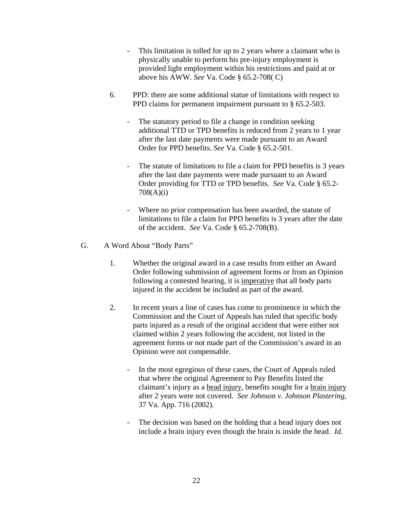- This limitation is tolled for up to 2 years where a claimant who is physically unable to perform his pre-injury employment is provided light employment within his restrictions and paid at or above his AWW. *See* Va. Code § 65.2-708( C)
- 6. PPD: there are some additional statue of limitations with respect to PPD claims for permanent impairment pursuant to § 65.2-503.
	- The statutory period to file a change in condition seeking additional TTD or TPD benefits is reduced from 2 years to 1 year after the last date payments were made pursuant to an Award Order for PPD benefits. *See* Va. Code § 65.2-501.
	- The statute of limitations to file a claim for PPD benefits is 3 years after the last date payments were made pursuant to an Award Order providing for TTD or TPD benefits. *See* Va. Code § 65.2- 708(A)(i)
	- Where no prior compensation has been awarded, the statute of limitations to file a claim for PPD benefits is 3 years after the date of the accident. *See* Va. Code § 65.2-708(B).
- G. A Word About "Body Parts"
	- 1. Whether the original award in a case results from either an Award Order following submission of agreement forms or from an Opinion following a contested hearing, it is imperative that all body parts injured in the accident be included as part of the award.
	- 2. In recent years a line of cases has come to prominence in which the Commission and the Court of Appeals has ruled that specific body parts injured as a result of the original accident that were either not claimed within 2 years following the accident, not listed in the agreement forms or not made part of the Commission's award in an Opinion were not compensable.
		- In the most egregious of these cases, the Court of Appeals ruled that where the original Agreement to Pay Benefits listed the claimant's injury as a head injury, benefits sought for a brain injury after 2 years were not covered. *See Johnson v. Johnson Plastering*, 37 Va. App. 716 (2002).
		- The decision was based on the holding that a head injury does not include a brain injury even though the brain is inside the head. *Id*.